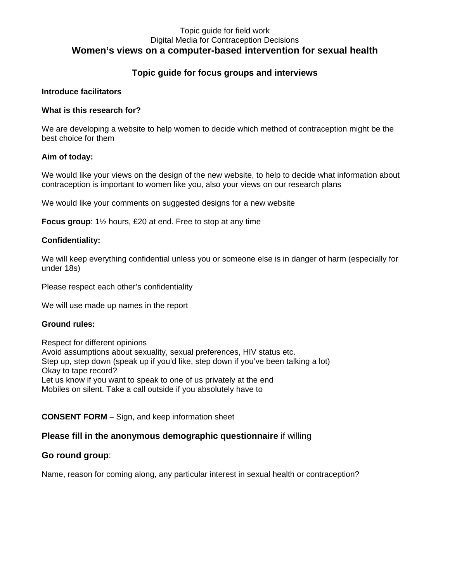### Topic guide for field work Digital Media for Contraception Decisions **Women's views on a computer-based intervention for sexual health**

## **Topic guide for focus groups and interviews**

#### **Introduce facilitators**

#### **What is this research for?**

We are developing a website to help women to decide which method of contraception might be the best choice for them

### **Aim of today:**

We would like your views on the design of the new website, to help to decide what information about contraception is important to women like you, also your views on our research plans

We would like your comments on suggested designs for a new website

**Focus group**: 1½ hours, £20 at end. Free to stop at any time

#### **Confidentiality:**

We will keep everything confidential unless you or someone else is in danger of harm (especially for under 18s)

Please respect each other's confidentiality

We will use made up names in the report

#### **Ground rules:**

Respect for different opinions Avoid assumptions about sexuality, sexual preferences, HIV status etc. Step up, step down (speak up if you'd like, step down if you've been talking a lot) Okay to tape record? Let us know if you want to speak to one of us privately at the end Mobiles on silent. Take a call outside if you absolutely have to

### **CONSENT FORM –** Sign, and keep information sheet

### **Please fill in the anonymous demographic questionnaire** if willing

### **Go round group**:

Name, reason for coming along, any particular interest in sexual health or contraception?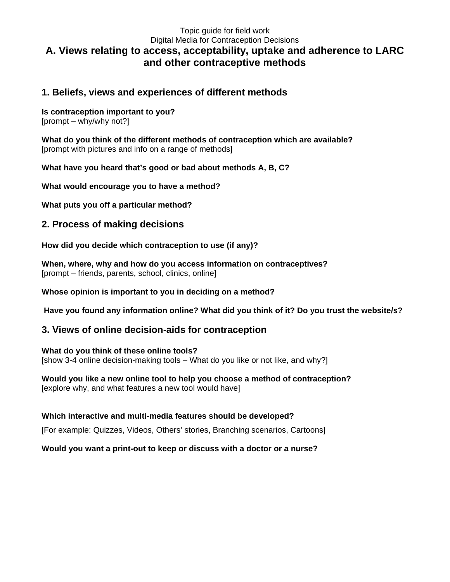## Topic guide for field work Digital Media for Contraception Decisions **A. Views relating to access, acceptability, uptake and adherence to LARC and other contraceptive methods**

## **1. Beliefs, views and experiences of different methods**

### **Is contraception important to you?**

[prompt – why/why not?]

**What do you think of the different methods of contraception which are available?** [prompt with pictures and info on a range of methods]

**What have you heard that's good or bad about methods A, B, C?**

**What would encourage you to have a method?**

**What puts you off a particular method?**

# **2. Process of making decisions**

**How did you decide which contraception to use (if any)?**

**When, where, why and how do you access information on contraceptives?** [prompt – friends, parents, school, clinics, online]

### **Whose opinion is important to you in deciding on a method?**

**Have you found any information online? What did you think of it? Do you trust the website/s?**

## **3. Views of online decision-aids for contraception**

**What do you think of these online tools?** [show 3-4 online decision-making tools – What do you like or not like, and why?]

**Would you like a new online tool to help you choose a method of contraception?** [explore why, and what features a new tool would have]

### **Which interactive and multi-media features should be developed?**

[For example: Quizzes, Videos, Others' stories, Branching scenarios, Cartoons]

### **Would you want a print-out to keep or discuss with a doctor or a nurse?**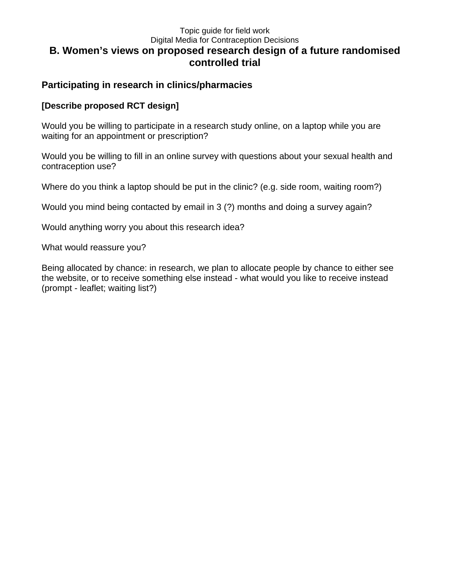### Topic guide for field work Digital Media for Contraception Decisions **B. Women's views on proposed research design of a future randomised controlled trial**

# **Participating in research in clinics/pharmacies**

## **[Describe proposed RCT design]**

Would you be willing to participate in a research study online, on a laptop while you are waiting for an appointment or prescription?

Would you be willing to fill in an online survey with questions about your sexual health and contraception use?

Where do you think a laptop should be put in the clinic? (e.g. side room, waiting room?)

Would you mind being contacted by email in 3 (?) months and doing a survey again?

Would anything worry you about this research idea?

What would reassure you?

Being allocated by chance: in research, we plan to allocate people by chance to either see the website, or to receive something else instead - what would you like to receive instead (prompt - leaflet; waiting list?)